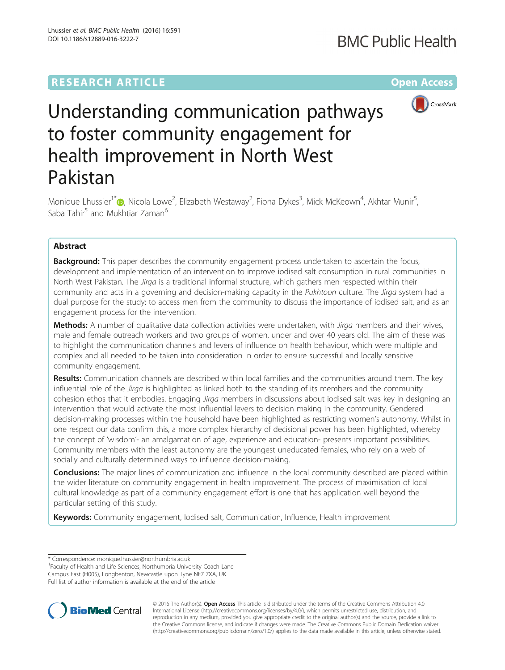## **RESEARCH ARTICLE Example 2014 12:30 The Community Community Community Community Community Community Community**



# Understanding communication pathways to foster community engagement for health improvement in North West Pakistan

Monique Lhussier<sup>1\*</sup> (b, Nicola Lowe<sup>2</sup>, Elizabeth Westaway<sup>2</sup>, Fiona Dykes<sup>3</sup>, Mick McKeown<sup>4</sup>, Akhtar Munir<sup>5</sup> , Saba Tahir<sup>5</sup> and Mukhtiar Zaman<sup>6</sup>

## Abstract

**Background:** This paper describes the community engagement process undertaken to ascertain the focus, development and implementation of an intervention to improve iodised salt consumption in rural communities in North West Pakistan. The Jirga is a traditional informal structure, which gathers men respected within their community and acts in a governing and decision-making capacity in the Pukhtoon culture. The Jirga system had a dual purpose for the study: to access men from the community to discuss the importance of iodised salt, and as an engagement process for the intervention.

Methods: A number of qualitative data collection activities were undertaken, with Jirga members and their wives, male and female outreach workers and two groups of women, under and over 40 years old. The aim of these was to highlight the communication channels and levers of influence on health behaviour, which were multiple and complex and all needed to be taken into consideration in order to ensure successful and locally sensitive community engagement.

Results: Communication channels are described within local families and the communities around them. The key influential role of the Jirga is highlighted as linked both to the standing of its members and the community cohesion ethos that it embodies. Engaging *Jirga* members in discussions about iodised salt was key in designing an intervention that would activate the most influential levers to decision making in the community. Gendered decision-making processes within the household have been highlighted as restricting women's autonomy. Whilst in one respect our data confirm this, a more complex hierarchy of decisional power has been highlighted, whereby the concept of 'wisdom'- an amalgamation of age, experience and education- presents important possibilities. Community members with the least autonomy are the youngest uneducated females, who rely on a web of socially and culturally determined ways to influence decision-making.

Conclusions: The major lines of communication and influence in the local community described are placed within the wider literature on community engagement in health improvement. The process of maximisation of local cultural knowledge as part of a community engagement effort is one that has application well beyond the particular setting of this study.

Keywords: Community engagement, lodised salt, Communication, Influence, Health improvement

\* Correspondence: [monique.lhussier@northumbria.ac.uk](mailto:monique.lhussier@northumbria.ac.uk) <sup>1</sup>

<sup>1</sup>Faculty of Health and Life Sciences, Northumbria University Coach Lane Campus East (H005), Longbenton, Newcastle upon Tyne NE7 7XA, UK Full list of author information is available at the end of the article



© 2016 The Author(s). Open Access This article is distributed under the terms of the Creative Commons Attribution 4.0 International License [\(http://creativecommons.org/licenses/by/4.0/](http://creativecommons.org/licenses/by/4.0/)), which permits unrestricted use, distribution, and reproduction in any medium, provided you give appropriate credit to the original author(s) and the source, provide a link to the Creative Commons license, and indicate if changes were made. The Creative Commons Public Domain Dedication waiver [\(http://creativecommons.org/publicdomain/zero/1.0/](http://creativecommons.org/publicdomain/zero/1.0/)) applies to the data made available in this article, unless otherwise stated.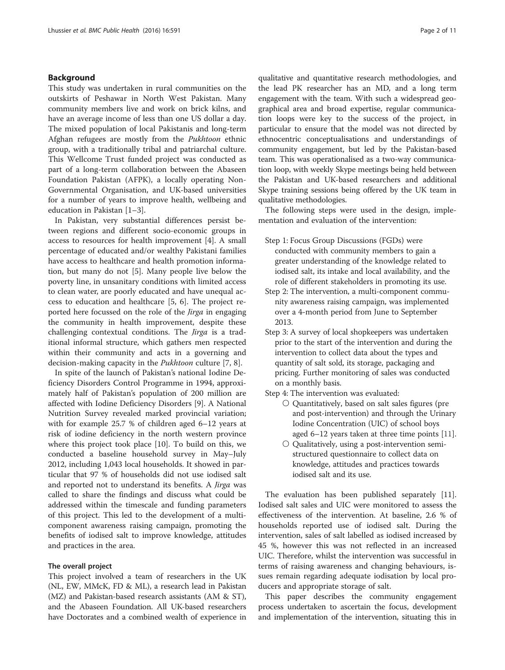## Background

This study was undertaken in rural communities on the outskirts of Peshawar in North West Pakistan. Many community members live and work on brick kilns, and have an average income of less than one US dollar a day. The mixed population of local Pakistanis and long-term Afghan refugees are mostly from the Pukhtoon ethnic group, with a traditionally tribal and patriarchal culture. This Wellcome Trust funded project was conducted as part of a long-term collaboration between the Abaseen Foundation Pakistan (AFPK), a locally operating Non-Governmental Organisation, and UK-based universities for a number of years to improve health, wellbeing and education in Pakistan [[1](#page-10-0)–[3\]](#page-10-0).

In Pakistan, very substantial differences persist between regions and different socio-economic groups in access to resources for health improvement [[4\]](#page-10-0). A small percentage of educated and/or wealthy Pakistani families have access to healthcare and health promotion information, but many do not [[5\]](#page-10-0). Many people live below the poverty line, in unsanitary conditions with limited access to clean water, are poorly educated and have unequal access to education and healthcare [\[5](#page-10-0), [6](#page-10-0)]. The project reported here focussed on the role of the Jirga in engaging the community in health improvement, despite these challenging contextual conditions. The Jirga is a traditional informal structure, which gathers men respected within their community and acts in a governing and decision-making capacity in the Pukhtoon culture [[7, 8\]](#page-10-0).

In spite of the launch of Pakistan's national Iodine Deficiency Disorders Control Programme in 1994, approximately half of Pakistan's population of 200 million are affected with Iodine Deficiency Disorders [\[9](#page-10-0)]. A National Nutrition Survey revealed marked provincial variation; with for example 25.7 % of children aged 6–12 years at risk of iodine deficiency in the north western province where this project took place [[10](#page-10-0)]. To build on this, we conducted a baseline household survey in May–July 2012, including 1,043 local households. It showed in particular that 97 % of households did not use iodised salt and reported not to understand its benefits. A Jirga was called to share the findings and discuss what could be addressed within the timescale and funding parameters of this project. This led to the development of a multicomponent awareness raising campaign, promoting the benefits of iodised salt to improve knowledge, attitudes and practices in the area.

## The overall project

This project involved a team of researchers in the UK (NL, EW, MMcK, FD & ML), a research lead in Pakistan (MZ) and Pakistan-based research assistants (AM & ST), and the Abaseen Foundation. All UK-based researchers have Doctorates and a combined wealth of experience in qualitative and quantitative research methodologies, and the lead PK researcher has an MD, and a long term engagement with the team. With such a widespread geographical area and broad expertise, regular communication loops were key to the success of the project, in particular to ensure that the model was not directed by ethnocentric conceptualisations and understandings of community engagement, but led by the Pakistan-based team. This was operationalised as a two-way communication loop, with weekly Skype meetings being held between the Pakistan and UK-based researchers and additional Skype training sessions being offered by the UK team in qualitative methodologies.

The following steps were used in the design, implementation and evaluation of the intervention:

- Step 1: Focus Group Discussions (FGDs) were conducted with community members to gain a greater understanding of the knowledge related to iodised salt, its intake and local availability, and the role of different stakeholders in promoting its use.
- Step 2: The intervention, a multi-component community awareness raising campaign, was implemented over a 4-month period from June to September 2013.
- Step 3: A survey of local shopkeepers was undertaken prior to the start of the intervention and during the intervention to collect data about the types and quantity of salt sold, its storage, packaging and pricing. Further monitoring of sales was conducted on a monthly basis.
- Step 4: The intervention was evaluated:
	- Quantitatively, based on salt sales figures (pre and post-intervention) and through the Urinary Iodine Concentration (UIC) of school boys aged 6–12 years taken at three time points [[11](#page-10-0)].
	- Qualitatively, using a post-intervention semistructured questionnaire to collect data on knowledge, attitudes and practices towards iodised salt and its use.

The evaluation has been published separately [\[11](#page-10-0)]. Iodised salt sales and UIC were monitored to assess the effectiveness of the intervention. At baseline, 2.6 % of households reported use of iodised salt. During the intervention, sales of salt labelled as iodised increased by 45 %, however this was not reflected in an increased UIC. Therefore, whilst the intervention was successful in terms of raising awareness and changing behaviours, issues remain regarding adequate iodisation by local producers and appropriate storage of salt.

This paper describes the community engagement process undertaken to ascertain the focus, development and implementation of the intervention, situating this in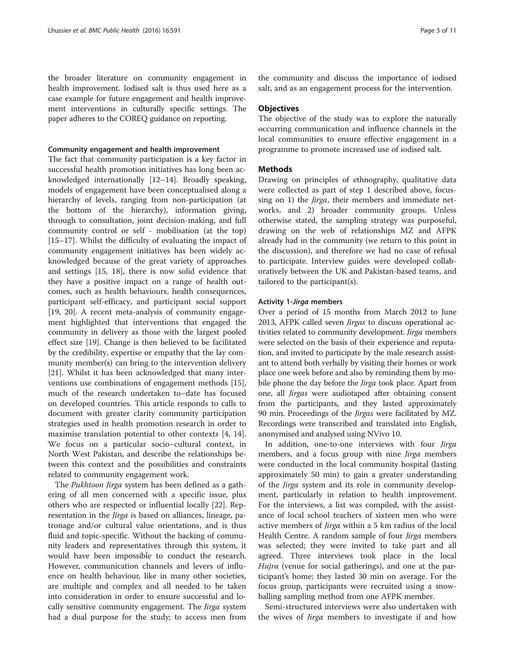the broader literature on community engagement in health improvement. Iodised salt is thus used here as a case example for future engagement and health improvement interventions in culturally specific settings. The paper adheres to the COREQ guidance on reporting.

### Community engagement and health improvement

The fact that community participation is a key factor in successful health promotion initiatives has long been acknowledged internationally [\[12](#page-10-0)–[14\]](#page-10-0). Broadly speaking, models of engagement have been conceptualised along a hierarchy of levels, ranging from non-participation (at the bottom of the hierarchy), information giving, through to consultation, joint decision-making, and full community control or self - mobilisation (at the top) [[15](#page-10-0)–[17](#page-10-0)]. Whilst the difficulty of evaluating the impact of community engagement initiatives has been widely acknowledged because of the great variety of approaches and settings [\[15](#page-10-0), [18\]](#page-10-0), there is now solid evidence that they have a positive impact on a range of health outcomes, such as health behaviours, health consequences, participant self-efficacy, and participant social support [[19, 20\]](#page-10-0). A recent meta-analysis of community engagement highlighted that interventions that engaged the community in delivery as those with the largest pooled effect size [\[19](#page-10-0)]. Change is then believed to be facilitated by the credibility, expertise or empathy that the lay community member(s) can bring to the intervention delivery [[21\]](#page-10-0). Whilst it has been acknowledged that many interventions use combinations of engagement methods [\[15](#page-10-0)], much of the research undertaken to−date has focused on developed countries. This article responds to calls to document with greater clarity community participation strategies used in health promotion research in order to maximise translation potential to other contexts [[4, 14](#page-10-0)]. We focus on a particular socio−cultural context, in North West Pakistan, and describe the relationships between this context and the possibilities and constraints related to community engagement work.

The Pukhtoon Jirga system has been defined as a gathering of all men concerned with a specific issue, plus others who are respected or influential locally [[22\]](#page-10-0). Representation in the *Jirga* is based on alliances, lineage, patronage and/or cultural value orientations, and is thus fluid and topic-specific. Without the backing of community leaders and representatives through this system, it would have been impossible to conduct the research. However, communication channels and levers of influence on health behaviour, like in many other societies, are multiple and complex and all needed to be taken into consideration in order to ensure successful and locally sensitive community engagement. The *Jirga* system had a dual purpose for the study; to access men from the community and discuss the importance of iodised salt, and as an engagement process for the intervention.

## **Objectives**

The objective of the study was to explore the naturally occurring communication and influence channels in the local communities to ensure effective engagement in a programme to promote increased use of iodised salt.

## **Methods**

Drawing on principles of ethnography, qualitative data were collected as part of step 1 described above, focussing on 1) the *Jirga*, their members and immediate networks, and 2) broader community groups. Unless otherwise stated, the sampling strategy was purposeful, drawing on the web of relationships MZ and AFPK already had in the community (we return to this point in the discussion), and therefore we had no case of refusal to participate. Interview guides were developed collaboratively between the UK and Pakistan-based teams, and tailored to the participant(s).

## Activity 1-Jirga members

Over a period of 15 months from March 2012 to June 2013, AFPK called seven Jirgas to discuss operational activities related to community development. Jirga members were selected on the basis of their experience and reputation, and invited to participate by the male research assistant to attend both verbally by visiting their homes or work place one week before and also by reminding them by mobile phone the day before the *Jirga* took place. Apart from one, all Jirgas were audiotaped after obtaining consent from the participants, and they lasted approximately 90 min. Proceedings of the *Jirgas* were facilitated by MZ. Recordings were transcribed and translated into English, anonymised and analysed using NVivo 10.

In addition, one-to-one interviews with four Jirga members, and a focus group with nine *Jirga* members were conducted in the local community hospital (lasting approximately 50 min) to gain a greater understanding of the Jirga system and its role in community development, particularly in relation to health improvement. For the interviews, a list was compiled, with the assistance of local school teachers of sixteen men who were active members of *Jirga* within a 5 km radius of the local Health Centre. A random sample of four *Jirga* members was selected; they were invited to take part and all agreed. Three interviews took place in the local Hujra (venue for social gatherings), and one at the participant's home; they lasted 30 min on average. For the focus group, participants were recruited using a snowballing sampling method from one AFPK member.

Semi-structured interviews were also undertaken with the wives of *Jirga* members to investigate if and how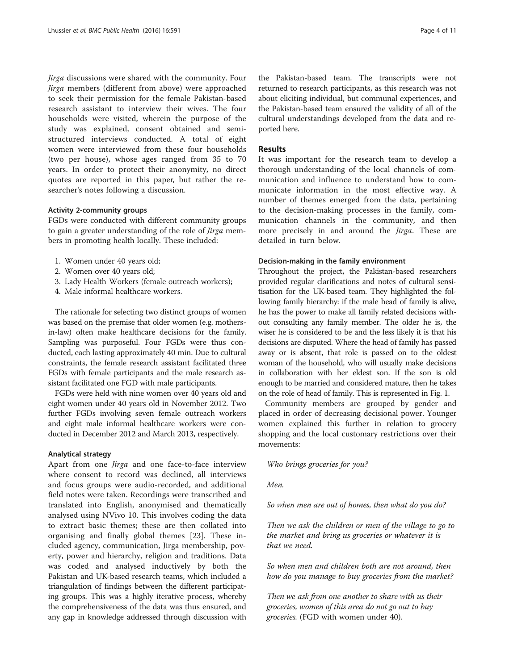Jirga discussions were shared with the community. Four Jirga members (different from above) were approached to seek their permission for the female Pakistan-based research assistant to interview their wives. The four households were visited, wherein the purpose of the study was explained, consent obtained and semistructured interviews conducted. A total of eight women were interviewed from these four households (two per house), whose ages ranged from 35 to 70 years. In order to protect their anonymity, no direct quotes are reported in this paper, but rather the researcher's notes following a discussion.

## Activity 2-community groups

FGDs were conducted with different community groups to gain a greater understanding of the role of *Jirga* members in promoting health locally. These included:

- 1. Women under 40 years old;
- 2. Women over 40 years old;
- 3. Lady Health Workers (female outreach workers);
- 4. Male informal healthcare workers.

The rationale for selecting two distinct groups of women was based on the premise that older women (e.g. mothersin-law) often make healthcare decisions for the family. Sampling was purposeful. Four FGDs were thus conducted, each lasting approximately 40 min. Due to cultural constraints, the female research assistant facilitated three FGDs with female participants and the male research assistant facilitated one FGD with male participants.

FGDs were held with nine women over 40 years old and eight women under 40 years old in November 2012. Two further FGDs involving seven female outreach workers and eight male informal healthcare workers were conducted in December 2012 and March 2013, respectively.

## Analytical strategy

Apart from one Jirga and one face-to-face interview where consent to record was declined, all interviews and focus groups were audio-recorded, and additional field notes were taken. Recordings were transcribed and translated into English, anonymised and thematically analysed using NVivo 10. This involves coding the data to extract basic themes; these are then collated into organising and finally global themes [\[23](#page-10-0)]. These included agency, communication, Jirga membership, poverty, power and hierarchy, religion and traditions. Data was coded and analysed inductively by both the Pakistan and UK-based research teams, which included a triangulation of findings between the different participating groups. This was a highly iterative process, whereby the comprehensiveness of the data was thus ensured, and any gap in knowledge addressed through discussion with the Pakistan-based team. The transcripts were not returned to research participants, as this research was not about eliciting individual, but communal experiences, and the Pakistan-based team ensured the validity of all of the cultural understandings developed from the data and reported here.

## Results

It was important for the research team to develop a thorough understanding of the local channels of communication and influence to understand how to communicate information in the most effective way. A number of themes emerged from the data, pertaining to the decision-making processes in the family, communication channels in the community, and then more precisely in and around the Jirga. These are detailed in turn below.

## Decision-making in the family environment

Throughout the project, the Pakistan-based researchers provided regular clarifications and notes of cultural sensitisation for the UK-based team. They highlighted the following family hierarchy: if the male head of family is alive, he has the power to make all family related decisions without consulting any family member. The older he is, the wiser he is considered to be and the less likely it is that his decisions are disputed. Where the head of family has passed away or is absent, that role is passed on to the oldest woman of the household, who will usually make decisions in collaboration with her eldest son. If the son is old enough to be married and considered mature, then he takes on the role of head of family. This is represented in Fig. [1.](#page-4-0)

Community members are grouped by gender and placed in order of decreasing decisional power. Younger women explained this further in relation to grocery shopping and the local customary restrictions over their movements:

Who brings groceries for you?

Men.

So when men are out of homes, then what do you do?

Then we ask the children or men of the village to go to the market and bring us groceries or whatever it is that we need.

So when men and children both are not around, then how do you manage to buy groceries from the market?

Then we ask from one another to share with us their groceries, women of this area do not go out to buy groceries. (FGD with women under 40).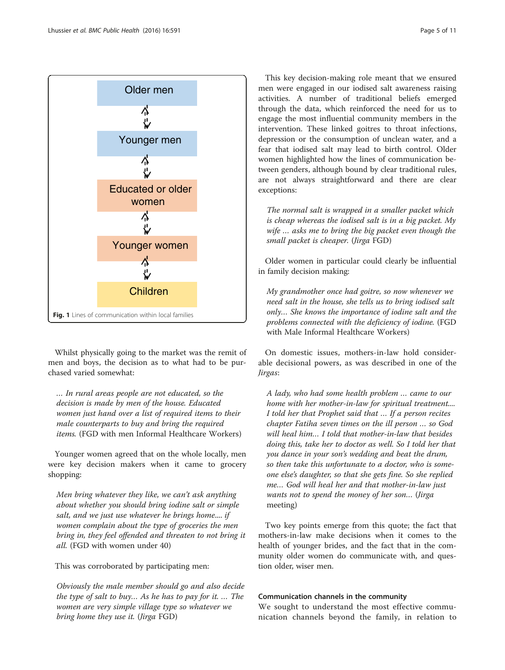<span id="page-4-0"></span>

Whilst physically going to the market was the remit of men and boys, the decision as to what had to be purchased varied somewhat:

… In rural areas people are not educated, so the decision is made by men of the house. Educated women just hand over a list of required items to their male counterparts to buy and bring the required items. (FGD with men Informal Healthcare Workers)

Younger women agreed that on the whole locally, men were key decision makers when it came to grocery shopping:

Men bring whatever they like, we can't ask anything about whether you should bring iodine salt or simple salt, and we just use whatever he brings home.... if women complain about the type of groceries the men bring in, they feel offended and threaten to not bring it all. (FGD with women under 40)

This was corroborated by participating men:

Obviously the male member should go and also decide the type of salt to buy… As he has to pay for it. … The women are very simple village type so whatever we bring home they use it. (Jirga FGD)

This key decision-making role meant that we ensured men were engaged in our iodised salt awareness raising activities. A number of traditional beliefs emerged through the data, which reinforced the need for us to engage the most influential community members in the intervention. These linked goitres to throat infections, depression or the consumption of unclean water, and a fear that iodised salt may lead to birth control. Older women highlighted how the lines of communication between genders, although bound by clear traditional rules, are not always straightforward and there are clear exceptions:

The normal salt is wrapped in a smaller packet which is cheap whereas the iodised salt is in a big packet. My wife … asks me to bring the big packet even though the small packet is cheaper. (Jirga FGD)

Older women in particular could clearly be influential in family decision making:

My grandmother once had goitre, so now whenever we need salt in the house, she tells us to bring iodised salt only… She knows the importance of iodine salt and the problems connected with the deficiency of iodine. (FGD with Male Informal Healthcare Workers)

On domestic issues, mothers-in-law hold considerable decisional powers, as was described in one of the Jirgas:

A lady, who had some health problem … came to our home with her mother-in-law for spiritual treatment.... I told her that Prophet said that … If a person recites chapter Fatiha seven times on the ill person … so God will heal him… I told that mother-in-law that besides doing this, take her to doctor as well. So I told her that you dance in your son's wedding and beat the drum, so then take this unfortunate to a doctor, who is someone else's daughter, so that she gets fine. So she replied me… God will heal her and that mother-in-law just wants not to spend the money of her son… (Jirga meeting)

Two key points emerge from this quote; the fact that mothers-in-law make decisions when it comes to the health of younger brides, and the fact that in the community older women do communicate with, and question older, wiser men.

## Communication channels in the community

We sought to understand the most effective communication channels beyond the family, in relation to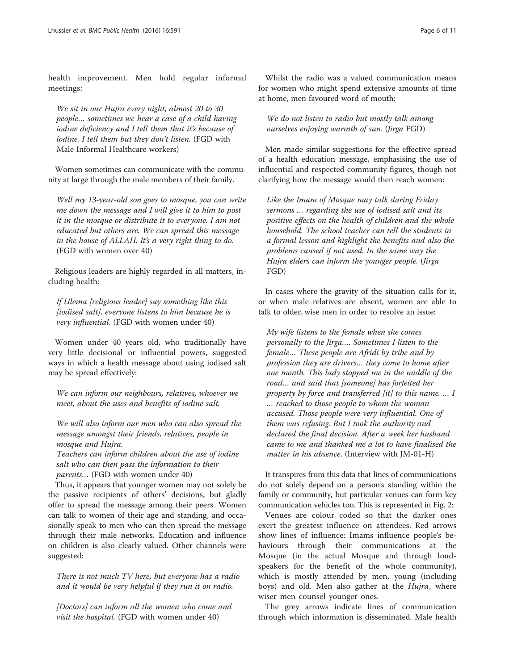health improvement. Men hold regular informal meetings:

We sit in our Hujra every night, almost 20 to 30 people… sometimes we hear a case of a child having iodine deficiency and I tell them that it's because of iodine. I tell them but they don't listen. (FGD with Male Informal Healthcare workers)

Women sometimes can communicate with the community at large through the male members of their family.

Well my 13-year-old son goes to mosque, you can write me down the message and I will give it to him to post it in the mosque or distribute it to everyone. I am not educated but others are. We can spread this message in the house of ALLAH. It's a very right thing to do. (FGD with women over 40)

Religious leaders are highly regarded in all matters, including health:

If Ulema [religious leader] say something like this [iodised salt], everyone listens to him because he is very influential. (FGD with women under 40)

Women under 40 years old, who traditionally have very little decisional or influential powers, suggested ways in which a health message about using iodised salt may be spread effectively:

We can inform our neighbours, relatives, whoever we meet, about the uses and benefits of iodine salt.

We will also inform our men who can also spread the message amongst their friends, relatives, people in mosque and Hujra.

Teachers can inform children about the use of iodine salt who can then pass the information to their parents… (FGD with women under 40)

Thus, it appears that younger women may not solely be the passive recipients of others' decisions, but gladly offer to spread the message among their peers. Women can talk to women of their age and standing, and occasionally speak to men who can then spread the message through their male networks. Education and influence on children is also clearly valued. Other channels were suggested:

There is not much TV here, but everyone has a radio and it would be very helpful if they run it on radio.

[Doctors] can inform all the women who come and visit the hospital. (FGD with women under 40)

Whilst the radio was a valued communication means for women who might spend extensive amounts of time at home, men favoured word of mouth:

We do not listen to radio but mostly talk among ourselves enjoying warmth of sun. (Jirga FGD)

Men made similar suggestions for the effective spread of a health education message, emphasising the use of influential and respected community figures, though not clarifying how the message would then reach women:

Like the Imam of Mosque may talk during Friday sermons … regarding the use of iodised salt and its positive effects on the health of children and the whole household. The school teacher can tell the students in a formal lesson and highlight the benefits and also the problems caused if not used. In the same way the Hujra elders can inform the younger people. (Jirga FGD)

In cases where the gravity of the situation calls for it, or when male relatives are absent, women are able to talk to older, wise men in order to resolve an issue:

My wife listens to the female when she comes personally to the Jirga…. Sometimes I listen to the female… These people are Afridi by tribe and by profession they are drivers… they come to home after one month. This lady stopped me in the middle of the road… and said that [someone] has forfeited her property by force and transferred [it] to this name. … I … reached to those people to whom the woman accused. Those people were very influential. One of them was refusing. But I took the authority and declared the final decision. After a week her husband came to me and thanked me a lot to have finalised the matter in his absence. (Interview with JM-01-H)

It transpires from this data that lines of communications do not solely depend on a person's standing within the family or community, but particular venues can form key communication vehicles too. This is represented in Fig. [2:](#page-6-0)

Venues are colour coded so that the darker ones exert the greatest influence on attendees. Red arrows show lines of influence: Imams influence people's behaviours through their communications at the Mosque (in the actual Mosque and through loudspeakers for the benefit of the whole community), which is mostly attended by men, young (including boys) and old. Men also gather at the *Hujra*, where wiser men counsel younger ones.

The grey arrows indicate lines of communication through which information is disseminated. Male health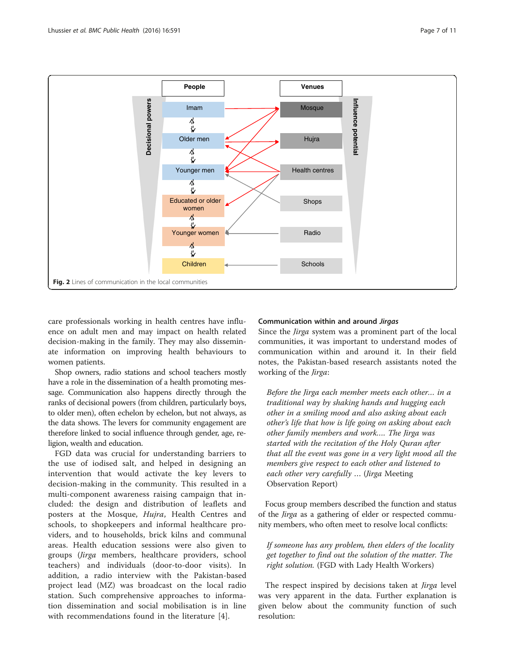<span id="page-6-0"></span>

care professionals working in health centres have influence on adult men and may impact on health related decision-making in the family. They may also disseminate information on improving health behaviours to women patients.

Shop owners, radio stations and school teachers mostly have a role in the dissemination of a health promoting message. Communication also happens directly through the ranks of decisional powers (from children, particularly boys, to older men), often echelon by echelon, but not always, as the data shows. The levers for community engagement are therefore linked to social influence through gender, age, religion, wealth and education.

FGD data was crucial for understanding barriers to the use of iodised salt, and helped in designing an intervention that would activate the key levers to decision-making in the community. This resulted in a multi-component awareness raising campaign that included: the design and distribution of leaflets and posters at the Mosque, Hujra, Health Centres and schools, to shopkeepers and informal healthcare providers, and to households, brick kilns and communal areas. Health education sessions were also given to groups (Jirga members, healthcare providers, school teachers) and individuals (door-to-door visits). In addition, a radio interview with the Pakistan-based project lead (MZ) was broadcast on the local radio station. Such comprehensive approaches to information dissemination and social mobilisation is in line with recommendations found in the literature [[4](#page-10-0)].

## Communication within and around Jirgas

Since the Jirga system was a prominent part of the local communities, it was important to understand modes of communication within and around it. In their field notes, the Pakistan-based research assistants noted the working of the Jirga:

Before the Jirga each member meets each other… in a traditional way by shaking hands and hugging each other in a smiling mood and also asking about each other's life that how is life going on asking about each other family members and work…. The Jirga was started with the recitation of the Holy Quran after that all the event was gone in a very light mood all the members give respect to each other and listened to each other very carefully … (Jirga Meeting Observation Report)

Focus group members described the function and status of the Jirga as a gathering of elder or respected community members, who often meet to resolve local conflicts:

If someone has any problem, then elders of the locality get together to find out the solution of the matter. The right solution. (FGD with Lady Health Workers)

The respect inspired by decisions taken at *Jirga* level was very apparent in the data. Further explanation is given below about the community function of such resolution: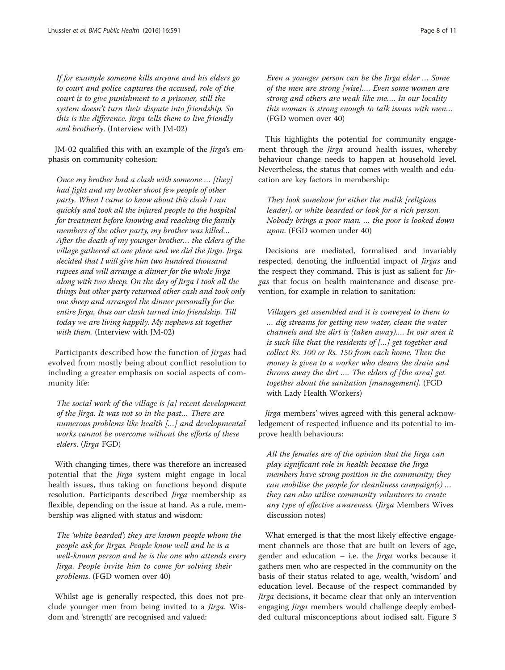If for example someone kills anyone and his elders go to court and police captures the accused, role of the court is to give punishment to a prisoner, still the system doesn't turn their dispute into friendship. So this is the difference. Jirga tells them to live friendly and brotherly. (Interview with JM-02)

JM-02 qualified this with an example of the Jirga's emphasis on community cohesion:

Once my brother had a clash with someone … [they] had fight and my brother shoot few people of other party. When I came to know about this clash I ran quickly and took all the injured people to the hospital for treatment before knowing and reaching the family members of the other party, my brother was killed… After the death of my younger brother… the elders of the village gathered at one place and we did the Jirga. Jirga decided that I will give him two hundred thousand rupees and will arrange a dinner for the whole Jirga along with two sheep. On the day of Jirga I took all the things but other party returned other cash and took only one sheep and arranged the dinner personally for the entire Jirga, thus our clash turned into friendship. Till today we are living happily. My nephews sit together with them. (Interview with JM-02)

Participants described how the function of Jirgas had evolved from mostly being about conflict resolution to including a greater emphasis on social aspects of community life:

The social work of the village is [a] recent development of the Jirga. It was not so in the past… There are numerous problems like health […] and developmental works cannot be overcome without the efforts of these elders. (Jirga FGD)

With changing times, there was therefore an increased potential that the Jirga system might engage in local health issues, thus taking on functions beyond dispute resolution. Participants described Jirga membership as flexible, depending on the issue at hand. As a rule, membership was aligned with status and wisdom:

The 'white bearded'; they are known people whom the people ask for Jirgas. People know well and he is a well-known person and he is the one who attends every Jirga. People invite him to come for solving their problems. (FGD women over 40)

Whilst age is generally respected, this does not preclude younger men from being invited to a Jirga. Wisdom and 'strength' are recognised and valued:

Even a younger person can be the Jirga elder … Some of the men are strong [wise]…. Even some women are strong and others are weak like me…. In our locality this woman is strong enough to talk issues with men… (FGD women over 40)

This highlights the potential for community engagement through the *Jirga* around health issues, whereby behaviour change needs to happen at household level. Nevertheless, the status that comes with wealth and education are key factors in membership:

They look somehow for either the malik [religious leader], or white bearded or look for a rich person. Nobody brings a poor man. … the poor is looked down upon. (FGD women under 40)

Decisions are mediated, formalised and invariably respected, denoting the influential impact of *Jirgas* and the respect they command. This is just as salient for *Jir*gas that focus on health maintenance and disease prevention, for example in relation to sanitation:

Villagers get assembled and it is conveyed to them to … dig streams for getting new water, clean the water channels and the dirt is (taken away)…. In our area it is such like that the residents of […] get together and collect Rs. 100 or Rs. 150 from each home. Then the money is given to a worker who cleans the drain and throws away the dirt …. The elders of [the area] get together about the sanitation [management]. (FGD with Lady Health Workers)

Jirga members' wives agreed with this general acknowledgement of respected influence and its potential to improve health behaviours:

All the females are of the opinion that the Jirga can play significant role in health because the Jirga members have strong position in the community; they can mobilise the people for cleanliness campaign(s) … they can also utilise community volunteers to create any type of effective awareness. (Jirga Members Wives discussion notes)

What emerged is that the most likely effective engagement channels are those that are built on levers of age, gender and education  $-$  i.e. the *Jirga* works because it gathers men who are respected in the community on the basis of their status related to age, wealth, 'wisdom' and education level. Because of the respect commanded by Jirga decisions, it became clear that only an intervention engaging *Jirga* members would challenge deeply embedded cultural misconceptions about iodised salt. Figure [3](#page-8-0)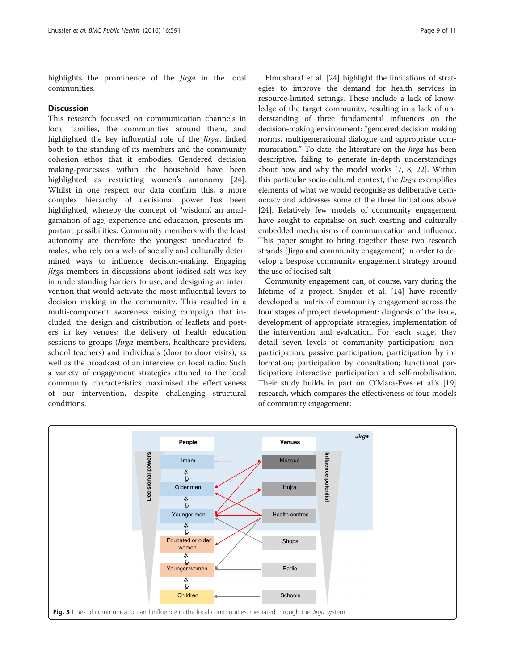<span id="page-8-0"></span>highlights the prominence of the Jirga in the local communities.

## Discussion

This research focussed on communication channels in local families, the communities around them, and highlighted the key influential role of the Jirga, linked both to the standing of its members and the community cohesion ethos that it embodies. Gendered decision making-processes within the household have been highlighted as restricting women's autonomy [\[24](#page-10-0)]. Whilst in one respect our data confirm this, a more complex hierarchy of decisional power has been highlighted, whereby the concept of 'wisdom', an amalgamation of age, experience and education, presents important possibilities. Community members with the least autonomy are therefore the youngest uneducated females, who rely on a web of socially and culturally determined ways to influence decision-making. Engaging Jirga members in discussions about iodised salt was key in understanding barriers to use, and designing an intervention that would activate the most influential levers to decision making in the community. This resulted in a multi-component awareness raising campaign that included: the design and distribution of leaflets and posters in key venues; the delivery of health education sessions to groups (*Jirga* members, healthcare providers, school teachers) and individuals (door to door visits), as well as the broadcast of an interview on local radio. Such a variety of engagement strategies attuned to the local community characteristics maximised the effectiveness of our intervention, despite challenging structural conditions.

Elmusharaf et al. [\[24\]](#page-10-0) highlight the limitations of strategies to improve the demand for health services in resource-limited settings. These include a lack of knowledge of the target community, resulting in a lack of understanding of three fundamental influences on the decision-making environment: "gendered decision making norms, multigenerational dialogue and appropriate communication." To date, the literature on the *Jirga* has been descriptive, failing to generate in-depth understandings about how and why the model works [\[7](#page-10-0), [8](#page-10-0), [22\]](#page-10-0). Within this particular socio-cultural context, the *Jirga* exemplifies elements of what we would recognise as deliberative democracy and addresses some of the three limitations above [[24](#page-10-0)]. Relatively few models of community engagement have sought to capitalise on such existing and culturally embedded mechanisms of communication and influence. This paper sought to bring together these two research strands (Jirga and community engagement) in order to develop a bespoke community engagement strategy around the use of iodised salt

Community engagement can, of course, vary during the lifetime of a project. Snijder et al. [\[14\]](#page-10-0) have recently developed a matrix of community engagement across the four stages of project development: diagnosis of the issue, development of appropriate strategies, implementation of the intervention and evaluation. For each stage, they detail seven levels of community participation: nonparticipation; passive participation; participation by information; participation by consultation; functional participation; interactive participation and self-mobilisation. Their study builds in part on O'Mara-Eves et al.'s [[19](#page-10-0)] research, which compares the effectiveness of four models of community engagement:

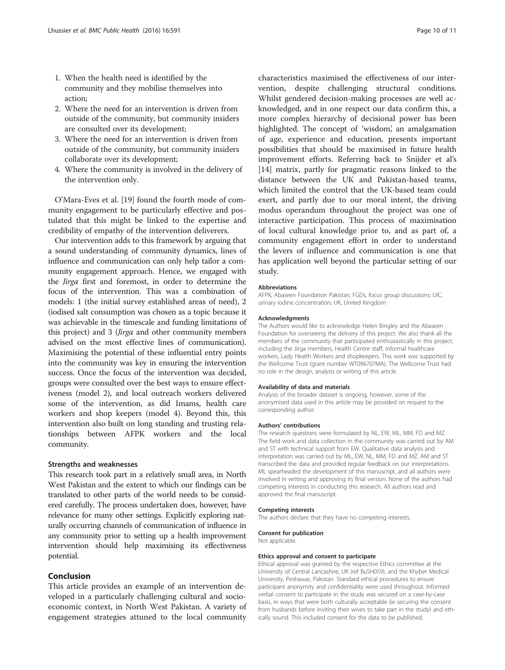- 1. When the health need is identified by the community and they mobilise themselves into action;
- 2. Where the need for an intervention is driven from outside of the community, but community insiders are consulted over its development;
- 3. Where the need for an intervention is driven from outside of the community, but community insiders collaborate over its development;
- 4. Where the community is involved in the delivery of the intervention only.

O'Mara-Eves et al. [[19\]](#page-10-0) found the fourth mode of community engagement to be particularly effective and postulated that this might be linked to the expertise and credibility of empathy of the intervention deliverers.

Our intervention adds to this framework by arguing that a sound understanding of community dynamics, lines of influence and communication can only help tailor a community engagement approach. Hence, we engaged with the Jirga first and foremost, in order to determine the focus of the intervention. This was a combination of models: 1 (the initial survey established areas of need), 2 (iodised salt consumption was chosen as a topic because it was achievable in the timescale and funding limitations of this project) and 3 (Jirga and other community members advised on the most effective lines of communication). Maximising the potential of these influential entry points into the community was key in ensuring the intervention success. Once the focus of the intervention was decided, groups were consulted over the best ways to ensure effectiveness (model 2), and local outreach workers delivered some of the intervention, as did Imams, health care workers and shop keepers (model 4). Beyond this, this intervention also built on long standing and trusting relationships between AFPK workers and the local community.

## Strengths and weaknesses

This research took part in a relatively small area, in North West Pakistan and the extent to which our findings can be translated to other parts of the world needs to be considered carefully. The process undertaken does, however, have relevance for many other settings. Explicitly exploring naturally occurring channels of communication of influence in any community prior to setting up a health improvement intervention should help maximising its effectiveness potential.

## Conclusion

This article provides an example of an intervention developed in a particularly challenging cultural and socioeconomic context, in North West Pakistan. A variety of engagement strategies attuned to the local community

characteristics maximised the effectiveness of our intervention, despite challenging structural conditions. Whilst gendered decision-making processes are well acknowledged, and in one respect our data confirm this, a more complex hierarchy of decisional power has been highlighted. The concept of 'wisdom', an amalgamation of age, experience and education, presents important possibilities that should be maximised in future health improvement efforts. Referring back to Snijder et al's [[14\]](#page-10-0) matrix, partly for pragmatic reasons linked to the distance between the UK and Pakistan-based teams, which limited the control that the UK-based team could exert, and partly due to our moral intent, the driving modus operandum throughout the project was one of interactive participation. This process of maximisation of local cultural knowledge prior to, and as part of, a community engagement effort in order to understand the levers of influence and communication is one that has application well beyond the particular setting of our study.

#### Abbreviations

AFPK, Abaseen Foundation Pakistan; FGDs, focus group discussions; UIC, urinary iodine concentration; UK, United Kingdom

#### Acknowledgments

The Authors would like to acknowledge Helen Bingley and the Abaseen Foundation for overseeing the delivery of this project. We also thank all the members of the community that participated enthusiastically in this project, including the Jirga members, Health Centre staff, informal healthcare workers, Lady Health Workers and shopkeepers. This work was supported by the Wellcome Trust (grant number WT096707MA). The Wellcome Trust had no role in the design, analysis or writing of this article.

#### Availability of data and materials

Analysis of the broader dataset is ongoing, however, some of the anonymised data used in this article may be provided on request to the corresponding author.

#### Authors' contributions

The research questions were formulated by NL, EW, ML, MM, FD and MZ. The field work and data collection in the community was carried out by AM and ST with technical support from EW. Qualitative data analysis and interpretation was carried out by ML, EW, NL, MM, FD and MZ. AM and ST transcribed the data and provided regular feedback on our interpretations. ML spearheaded the development of this manuscript, and all authors were involved in writing and approving its final version. None of the authors had competing interests in conducting this research. All authors read and approved the final manuscript.

#### Competing interests

The authors declare that they have no competing interests.

## Consent for publication

Not applicable.

#### Ethics approval and consent to participate

Ethical approval was granted by the respective Ethics committee at the University of Central Lancashire, UK (ref BuSH059), and the Khyber Medical University, Peshawar, Pakistan. Standard ethical procedures to ensure participant anonymity and confidentiality were used throughout. Informed verbal consent to participate in the study was secured on a case-by-case basis, in ways that were both culturally acceptable (ie securing the consent from husbands before inviting their wives to take part in the study) and ethically sound. This included consent for the data to be published.